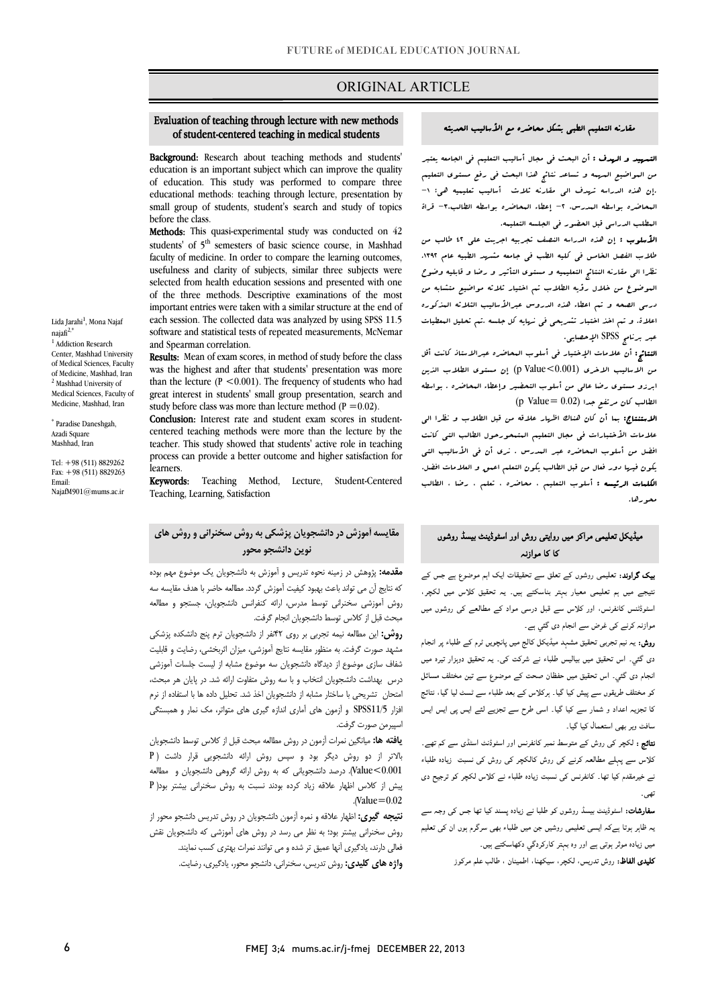# ORIGINAL ARTICLE

### of student-centered teaching in medical students Evaluation of teaching through lecture with new methods

Ī

 Background: Research about teaching methods and students' of education. This study was performed to compare three educational methods: teaching through lecture, presentation by small group of students, student's search and study of topics<br>before the class education is an important subject which can improve the quality before the class.

Methods: This quasi-experimental study was conducted on 42 students' of 5<sup>th</sup> semesters of basic science course, in Mashhad usefulness and clarity of subjects, similar three subjects were selected from health education sessions and presented with one of the three methods. Descriptive examinations of the most each session. The collected data was analyzed by using SPSS 11.5 software and statistical tests of repeated measurements, McNemar faculty of medicine. In order to compare the learning outcomes, important entries were taken with a similar structure at the end of and Spearman correlation.

**Results:** Mean of exam scores, in method of study before the class was the highest and after that students' presentation was more than the lecture ( $P \le 0.001$ ). The frequency of students who had study before class was more than lecture method ( $P = 0.02$ ). great interest in students' small group presentation, search and

Conclusion: Interest rate and student exam scores in student- teacher. This study showed that students' active role in teaching process can provide a better outcome and higher satisfaction for centered teaching methods were more than the lecture by the learners.

learners.<br>**Keywords:** Teaching Method, Lecture, Student-Centered Teaching, Learning, Satisfaction

### **مقایسه آموزش در دانشجویان پزشکی به روش سخنرانی و روش هاي نوین دانشجو محور**

 **مقدمه:** پژوهش در زمینه نحوه تدریس و آموزش به دانشجویان یک موضوع مهم بوده که نتایج آن می تواند باعث بهبود کیفیت آموزش گردد. مطالعه حاضر با هدف مقایسه سه روس سورسی سامرسی توسط سورس.<br>مبحث قبل از کلاس توسط دانشجویان انجام گرفت. روش آموزشی سخنرانی توسط مدرس، ارائه کنفرانس دانشجویان، جستجو و مطالعه

 **روش:** این مطالعه نیمه تجربی بر روي 42نفر از دانشجویان ترم پنج دانشکده پزشکی مشهد صورت گرفت. به منظور مقایسه نتایج آموزشی، میزان اثربخشی، رضایت و قابلیت شفاف سازي موضوع از دیدگاه دانشجویان سه موضوع مشابه از لیست جلسات آموزشی درس بهداشت دانشجویان انتخاب و با سه روش متفاوت ارائه شد. در پایان هر مبحث، امتحان تشریحی با ساختار مشابه از دانشجویان اخذ شد. تحلیل داده ها با استفاده از نرم افزار 11/5SPSS و آزمون هاي آماري اندازه گیري هاي متواتر، مک نمار و همبستگی اسپیرمن صورت گرفت.

 بالاتر از دو روش دیگر بود و سپس روش ارائه دانشجویی قرار داشت ( P 0.001>Value(. درصد دانشجویانی که به روش ارائه گروهی دانشجویان و مطالعه پیش از کلاس اظهار علاقه زیاد کرده بودند نسبت به روش سخنرانی بیشتر بود( P **یافته ها:** میانگین نمرات آزمون در روش مطالعه مبحث قبل از کلاس توسط دانشجویان .(Value=0.02

 **نتیجه گیري:** اظهار علاقه و نمره آزمون دانشجویان در روش تدریس دانشجو محور از روش سخنرانی بیشتر بود؛ به نظر می رسد در روش هاي آموزشی که دانشجویان نقش فعالی دارند، یادگیري آنها عمیق تر شده و می توانند نمرات بهتري کسب نمایند. **واژه هاي کلیدي:** روش تدریس، سخنرانی، دانشجو محور، یادگیري، رضایت.

#### مقارنه التعلیم الطبی بشکل محاضره مع الأسالیب الحدیثه

I

 التمهید و الهدف : أن البحث فی مجال أسالیب التعلیم فی الجامعه یعتبر من المواضیع المهمه و تساعد نتائج هذا البحث فی رفع مستوي التعلیم .إن هذه الدراسه تهدف الی مقارنه ثلاث أسالیب تعلیمیه هی: -1 المحاضره بواسطه المدرس، -2 إعطاء المحاضره بواسطه الطالب-3، قراة المطلب الدراسی قبل الحضور فی الجلسه التعلیمه.<br>.

 طلاب الفصل الخامس فی کلیه الطب فی جامعه مشهد الطبیه عام .1392 نظرا الی مقارنه النتائج التعلیمیه و مستوي التأثیر و رضا و قابلیه وضوح الموضوع من خلال رؤیه الطلاب تم اختیار ثلاثه مواضیع متشابه من درسی الصحه و تم اعطاء هذه الدروس عبرالأسالیب الثلاثه المذکوره اعلاة. و تم اخذ اختبار تشریحی فی نهایه کل جلسه .تم تحلیل المعطیات عبر برنامج SPSS الإحصایی. الأسلوب : إن هذه الدراسه النصف تجربیه اجریت علی 42 طالب من

 النتائج: أن علامات الإختیار فی أسلوب المحاضره عبرالاستاذ کانت أقل من الاسالیب الاخري (0.001>Value p (إن مستوي الطلاب الذین ابرزو مستوي رضا عالی من أسلوب التحضیر وإعطاء المحاضره . بواسطه الطالب کان مرتفع جدا (0.02 =Value p (

 الاستنتاج: بما أن کان هناك اظهار علاقه من قبل الطلاب و نظرا الی علامات الأختبارات فی مجال التعلیم المتمحورحول الطالب التی کانت افضل من أسلوب المحاضره عبر المدرس . نري أن فی الأسالیب التی یکون فیها دور فعال من قبل الطالب یکون التعلم اعمق و العلامات افضل. الکلمات الرئیسه : أسلوب التعلیم ، محاضره ، تعلم ، رضا ، الطالب محورها.

### میڈیکل تعلیمی مراکز میں روایتی روش اور اسٹوڈینٹ بیسڈ روشوں<br>'' کا کا موازنہ

**یپک گراوند:** تعلیمی روشوں کے تعلق سے تحقیقات ایک اہم موضوع ہے جس کے نتیجے میں ہم تعلیمی معیار بہتر بناسکتے ہیں۔ یہ تحقیق کلاس میں لکچر، اسٹوڈٹنس کانفرنس، اور کلاس سے قبل درسی مواد کے مطالعے کی روشوں میں موازنہ کرنے کی غرض سے انجام دی گئي ہے.

**روش:** یہ نیم تجربی تحقیق مشہد میڈیکل کالج میں پانچویں ٹرم کے طلباء پر انجام دی گئي۔ اس تحقيق ميں بياليس طلباء نے شرکت کی۔ يہ تحقيق دوہزار تيرہ ميں انجام دی گئبی۔ اس تحقیق میں حفظان صحت کے موضوع سے تین مختلف مسائل کو مختلف طریقوں سے پیش کیا گیا۔ ہرکلاس کے بعد طلباء سے ٹسٹ لیا گیا، نتائج کا تجزیہ اعداد و شمار سے کیا گیا۔ اسی طرح سے تجزیے لئے ایس پی ایس ایس سافٹ ویر بھی استعمال کیا گیا۔

**نتائج :** لکچر کی روش کے متوسط نمبر کانفرنس اور اسٹوڈنٹ اسٹڈی سے کم تھے۔<br>۔ کلاس سے پہلے مطالعہ کرنے کی روش کالکچر کی روش کی نسبت زیادہ طلباء<br>۔ ے خیرمقدم کیا تھا۔ کانفرنس کی نسبت زیادہ طلباء نے کلاس لکچر کو ترجیح دی<br>۔ .<br>پي -

**سفارشات:** اسٹوڈینٹ بیسڈ روشوں کو طلبا نے زیادہ پسند کیا تھا جس کی وجہ سے<br>۔ Ĩ یہ ظاہر ہوتا ہےکہ ایسی تعلیمی روشیں جن میں طلباء بھی سرگرم ہوں ان کی تعلیم میں زیادہ موثر ہوتی ہے اور وہ بہتر کارکردگي دکھاسکتے ہیں۔

**کلیدی الفاظ:** روش تدریس، لکچر، سیکهنا، اطمینان ، طالب علم مرکوز<br>.

Lida Jarahi<sup>1</sup>, Mona Najaf  $naiafi^{2,*}$ <sup>1</sup> Addiction Research Center, Mashhad University of Medical Sciences, Faculty of Medicine, Mashhad, Iran <sup>2</sup> Mashhad University of Medical Sciences, Faculty of Medicine, Mashhad, Iran

\* Paradise Daneshgah, Azadi Square Mashhad, Iran

Tel: +98 (511) 8829262 Fax: +98 (511) 8829263 Email: NajafM901@mums.ac.ir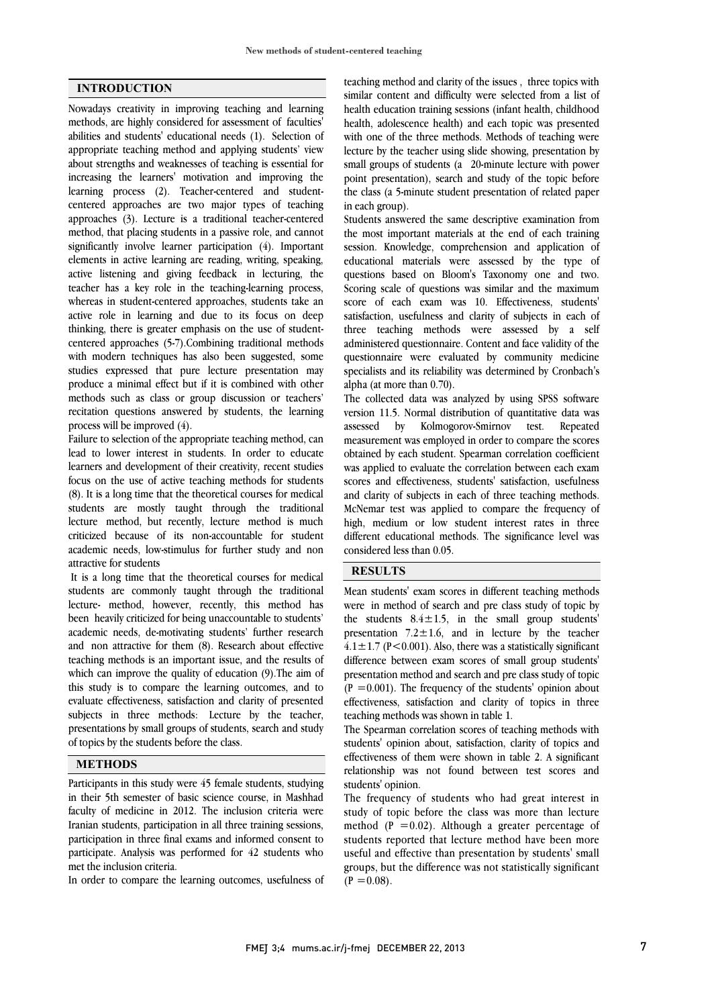## **INTRODUCTION**

Nowadays creativity in improving teaching and learning methods, are highly considered for assessment of faculties' abilities and students' educational needs (1). Selection of appropriate teaching method and applying students' view about strengths and weaknesses of teaching is essential for increasing the learners' motivation and improving the learning process (2). Teacher-centered and studentcentered approaches are two major types of teaching approaches (3). Lecture is a traditional teacher-centered method, that placing students in a passive role, and cannot significantly involve learner participation (4). Important elements in active learning are reading, writing, speaking, active listening and giving feedback in lecturing, the teacher has a key role in the teaching-learning process, whereas in student-centered approaches, students take an active role in learning and due to its focus on deep thinking, there is greater emphasis on the use of studentcentered approaches (5-7).Combining traditional methods with modern techniques has also been suggested, some studies expressed that pure lecture presentation may produce a minimal effect but if it is combined with other methods such as class or group discussion or teachers' recitation questions answered by students, the learning process will be improved (4).

Failure to selection of the appropriate teaching method, can lead to lower interest in students. In order to educate learners and development of their creativity, recent studies focus on the use of active teaching methods for students (8). It is a long time that the theoretical courses for medical students are mostly taught through the traditional lecture method, but recently, lecture method is much criticized because of its non-accountable for student academic needs, low-stimulus for further study and non attractive for students

It is a long time that the theoretical courses for medical students are commonly taught through the traditional lecture- method, however, recently, this method has been heavily criticized for being unaccountable to students' academic needs, de-motivating students' further research and non attractive for them (8). Research about effective teaching methods is an important issue, and the results of which can improve the quality of education (9).The aim of this study is to compare the learning outcomes, and to evaluate effectiveness, satisfaction and clarity of presented subjects in three methods: Lecture by the teacher, presentations by small groups of students, search and study of topics by the students before the class.

## **METHODS**

Participants in this study were 45 female students, studying in their 5th semester of basic science course, in Mashhad faculty of medicine in 2012. The inclusion criteria were Iranian students, participation in all three training sessions, participation in three final exams and informed consent to participate. Analysis was performed for 42 students who met the inclusion criteria.

In order to compare the learning outcomes, usefulness of

 teaching method and clarity of the issues , three topics with similar content and difficulty were selected from a list of health education training sessions (infant health, childhood health, adolescence health) and each topic was presented lecture by the teacher using slide showing, presentation by small groups of students (a 20-minute lecture with power point presentation), search and study of the topic before the class (a 5-minute student presentation of related paper with one of the three methods. Methods of teaching were in each group).

 Students answered the same descriptive examination from the most important materials at the end of each training session. Knowledge, comprehension and application of educational materials were assessed by the type of Scoring scale of questions was similar and the maximum score of each exam was 10. Effectiveness, students' satisfaction, usefulness and clarity of subjects in each of three teaching methods were assessed by a self questionnaire were evaluated by community medicine specialists and its reliability was determined by Cronbach's alpha (at more than 0.70). questions based on Bloom's Taxonomy one and two. administered questionnaire. Content and face validity of the

 The collected data was analyzed by using SPSS software assessed by Kolmogorov-Smirnov test. Repeated measurement was employed in order to compare the scores obtained by each student. Spearman correlation coefficient was applied to evaluate the correlation between each exam and clarity of subjects in each of three teaching methods. McNemar test was applied to compare the frequency of high, medium or low student interest rates in three different educational methods. The significance level was considered less than 0.05. version 11.5. Normal distribution of quantitative data was scores and effectiveness, students' satisfaction, usefulness

# **RESULTS**

 Mean students' exam scores in different teaching methods were in method of search and pre class study of topic by presentation  $7.2 \pm 1.6$ , and in lecture by the teacher  $4.1 \pm 1.7$  (P<0.001). Also, there was a statistically significant difference between exam scores of small group students' presentation method and search and pre class study of topic effectiveness, satisfaction and clarity of topics in three teaching methods was shown in table 1. the students  $8.4 \pm 1.5$ , in the small group students'  $(P = 0.001)$ . The frequency of the students' opinion about

 The Spearman correlation scores of teaching methods with students' opinion about, satisfaction, clarity of topics and relationship was not found between test scores and students' opinion. effectiveness of them were shown in table 2. A significant

 The frequency of students who had great interest in study of topic before the class was more than lecture students reported that lecture method have been more useful and effective than presentation by students' small groups, but the difference was not statistically significant  $(P = 0.08)$ . method ( $P = 0.02$ ). Although a greater percentage of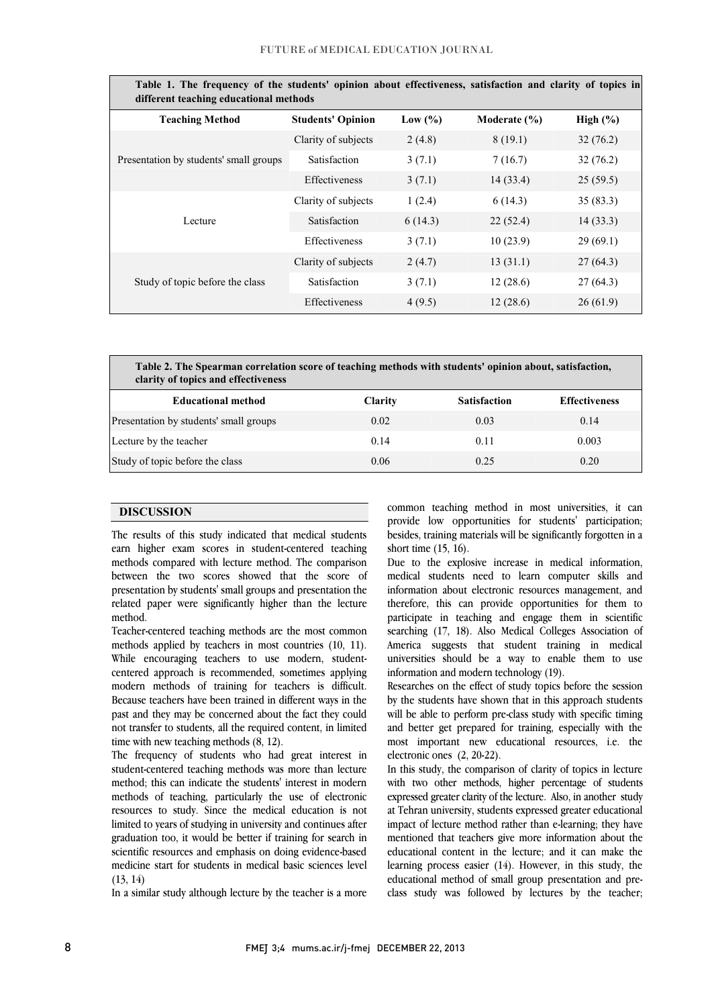| Table 1. The frequency of the students' opinion about effectiveness, satisfaction and clarity of topics in<br>different teaching educational methods |                          |             |                  |             |  |  |
|------------------------------------------------------------------------------------------------------------------------------------------------------|--------------------------|-------------|------------------|-------------|--|--|
| <b>Teaching Method</b>                                                                                                                               | <b>Students' Opinion</b> | Low $(\% )$ | Moderate $(\% )$ | High $(\%)$ |  |  |
| Presentation by students' small groups                                                                                                               | Clarity of subjects      | 2(4.8)      | 8(19.1)          | 32(76.2)    |  |  |
|                                                                                                                                                      | Satisfaction             | 3(7.1)      | 7(16.7)          | 32(76.2)    |  |  |
|                                                                                                                                                      | Effectiveness            | 3(7.1)      | 14(33.4)         | 25(59.5)    |  |  |
|                                                                                                                                                      | Clarity of subjects      | 1(2.4)      | 6(14.3)          | 35(83.3)    |  |  |
| Lecture                                                                                                                                              | Satisfaction             | 6(14.3)     | 22(52.4)         | 14(33.3)    |  |  |
|                                                                                                                                                      | Effectiveness            | 3(7.1)      | 10(23.9)         | 29(69.1)    |  |  |
| Study of topic before the class                                                                                                                      | Clarity of subjects      | 2(4.7)      | 13(31.1)         | 27(64.3)    |  |  |
|                                                                                                                                                      | Satisfaction             | 3(7.1)      | 12(28.6)         | 27(64.3)    |  |  |
|                                                                                                                                                      | Effectiveness            | 4(9.5)      | 12(28.6)         | 26(61.9)    |  |  |
|                                                                                                                                                      |                          |             |                  |             |  |  |

| Table 1. The frequency of the students' opinion about effectiveness, satisfaction and clarity of topics in |
|------------------------------------------------------------------------------------------------------------|
| different teaching educational methods                                                                     |

 **Table 2. The Spearman correlation score of teaching methods with students' opinion about, satisfaction, clarity of topics and effectiveness**

 $\overline{a}$ 

֡֡֡֡֡ ֺ֖֚֝֬

| $\alpha$                               |                |                     |                      |
|----------------------------------------|----------------|---------------------|----------------------|
| <b>Educational method</b>              | <b>Clarity</b> | <b>Satisfaction</b> | <b>Effectiveness</b> |
| Presentation by students' small groups | 0.02           | 0.03                | 0.14                 |
| Lecture by the teacher                 | 0.14           | 0.11                | 0.003                |
| Study of topic before the class        | 0.06           | 0.25                | 0.20                 |
|                                        |                |                     |                      |

#### **DISCUSSION**

г

earn higher exam scores in student-centered teaching methods compared with lecture method. The comparison between the two scores showed that the score of presentation by students' small groups and presentation the related paper were significantly higher than the lecture The results of this study indicated that medical students method.

 Teacher-centered teaching methods are the most common methods applied by teachers in most countries (10, 11). While encouraging teachers to use modern, studententered approach is recommended, sometimes approach to teach and the modern Because teachers have been trained in different ways in the past and they may be concerned about the fact they could not transfer to students, all the required content, in limited centered approach is recommended, sometimes applying time with new teaching methods (8, 12).

The frequency of students who had great interest in student-centered teaching methods was more than lecture method; this can indicate the students' interest in modern methods of teaching, particularly the use of electronic limited to years of studying in university and continues after graduation too, it would be better if training for search in scientific resources and emphasis on doing evidence-based medicine start for students in medical basic sciences level resources to study. Since the medical education is not  $(13, 14)$ 

In a similar study although lecture by the teacher is a more

 common teaching method in most universities, it can provide low opportunities for students' participation; besides, training materials will be significantly forgotten in a short time (15, 16).

ׇ֡

 Due to the explosive increase in medical information, medical students need to learn computer skills and information about electronic resources management, and participate in teaching and engage them in scientific searching (17, 18). Also Medical Colleges Association of America suggests that student training in medical universities should be a way to enable them to use therefore, this can provide opportunities for them to information and modern technology (19).

Researches on the effect of study topics before the session by the students have shown that in this approach students will be able to perform pre-class study with specific timing and better get prepared for training, especially with the most important new educational resources, i.e. the electronic ones (2, 20-22).

 In this study, the comparison of clarity of topics in lecture with two other methods, higher percentage of students expressed greater clarity of the lecture. Also, in another study in remain anterony, statents expressed greater educational<br>impact of lecture method rather than e-learning; they have mentioned that teachers give more information about the educational content in the lecture; and it can make the learning process easier (14). However, in this study, the class study was followed by lectures by the teacher; at Tehran university, students expressed greater educational educational method of small group presentation and pre